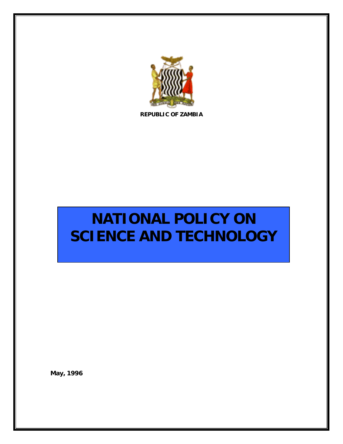

**REPUBLIC OF ZAMBIA** 

# **NATIONAL POLICY ON SCIENCE AND TECHNOLOGY**

**May, 1996**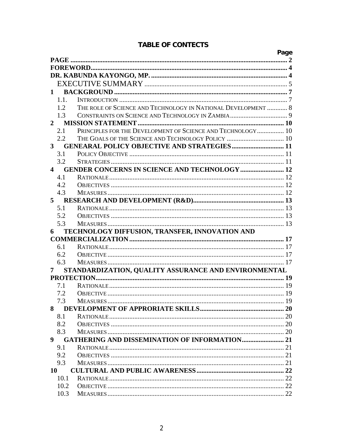|              |                |                                                               | Page |  |  |
|--------------|----------------|---------------------------------------------------------------|------|--|--|
|              |                |                                                               |      |  |  |
|              |                |                                                               |      |  |  |
|              |                |                                                               |      |  |  |
|              |                |                                                               |      |  |  |
|              | $\mathbf{1}$   |                                                               |      |  |  |
|              | 1.1.           |                                                               |      |  |  |
|              | 1.2            | THE ROLE OF SCIENCE AND TECHNOLOGY IN NATIONAL DEVELOPMENT  8 |      |  |  |
|              | 1.3            |                                                               |      |  |  |
| $\mathbf{2}$ |                |                                                               |      |  |  |
|              | 2.1            | PRINCIPLES FOR THE DEVELOPMENT OF SCIENCE AND TECHNOLOGY 10   |      |  |  |
|              | 2.2            | THE GOALS OF THE SCIENCE AND TECHNOLOGY POLICY  10            |      |  |  |
|              | 3 <sup>1</sup> | <b>GENEARAL POLICY OBJECTIVE AND STRATEGIES  11</b>           |      |  |  |
|              | 3.1            |                                                               |      |  |  |
|              | 3.2            |                                                               |      |  |  |
|              | 4              | <b>GENDER CONCERNS IN SCIENCE AND TECHNOLOGY  12</b>          |      |  |  |
|              | 4.1            |                                                               |      |  |  |
|              | 4.2            |                                                               |      |  |  |
|              | 4.3            |                                                               |      |  |  |
|              | 5 <sup>5</sup> |                                                               |      |  |  |
|              | 5.1            |                                                               |      |  |  |
|              | 5.2            |                                                               |      |  |  |
|              | 5.3            |                                                               |      |  |  |
| 6            |                | TECHNOLOGY DIFFUSION, TRANSFER, INNOVATION AND                |      |  |  |
|              |                |                                                               |      |  |  |
|              | 6.1            |                                                               |      |  |  |
|              | 6.2            |                                                               |      |  |  |
|              | 6.3            |                                                               |      |  |  |
| 7            |                | STANDARDIZATION, QUALITY ASSURANCE AND ENVIRONMENTAL          |      |  |  |
|              |                |                                                               |      |  |  |
|              | 7.1            |                                                               |      |  |  |
|              | 7.2            |                                                               |      |  |  |
|              | 7.3            |                                                               |      |  |  |
|              | 8              |                                                               |      |  |  |
|              | 8.1            |                                                               |      |  |  |
|              | 8.2            |                                                               |      |  |  |
|              | 8.3            |                                                               |      |  |  |
|              | $9^{\circ}$    | <b>GATHERING AND DISSEMINATION OF INFORMATION 21</b>          |      |  |  |
|              | 9.1            |                                                               |      |  |  |
|              | 9.2            |                                                               |      |  |  |
|              | 9.3            |                                                               |      |  |  |
|              | 10             |                                                               |      |  |  |
|              | 10.1           |                                                               |      |  |  |
|              | 10.2           |                                                               |      |  |  |
|              | 10.3           |                                                               |      |  |  |

# **TABLE OF CONTECTS**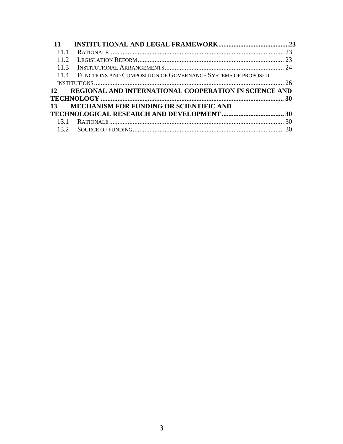| 11                |                                                                  |  |  |  |  |
|-------------------|------------------------------------------------------------------|--|--|--|--|
| 11 1              |                                                                  |  |  |  |  |
| 11.2              |                                                                  |  |  |  |  |
| 113               |                                                                  |  |  |  |  |
|                   | 11.4 FUNCTIONS AND COMPOSITION OF GOVERNANCE SYSTEMS OF PROPOSED |  |  |  |  |
|                   |                                                                  |  |  |  |  |
| 12                | REGIONAL AND INTERNATIONAL COOPERATION IN SCIENCE AND            |  |  |  |  |
|                   |                                                                  |  |  |  |  |
|                   | 13 MECHANISM FOR FUNDING OR SCIENTIFIC AND                       |  |  |  |  |
|                   |                                                                  |  |  |  |  |
| 13.1              |                                                                  |  |  |  |  |
| 13.2 <sub>1</sub> |                                                                  |  |  |  |  |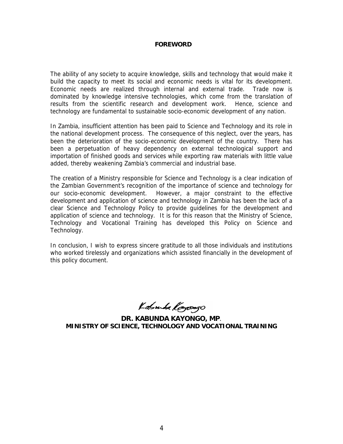#### **FOREWORD**

The ability of any society to acquire knowledge, skills and technology that would make it build the capacity to meet its social and economic needs is vital for its development. Economic needs are realized through internal and external trade. Trade now is dominated by knowledge intensive technologies, which come from the translation of results from the scientific research and development work. Hence, science and technology are fundamental to sustainable socio-economic development of any nation.

In Zambia, insufficient attention has been paid to Science and Technology and its role in the national development process. The consequence of this neglect, over the years, has been the deterioration of the socio-economic development of the country. There has been a perpetuation of heavy dependency on external technological support and importation of finished goods and services while exporting raw materials with little value added, thereby weakening Zambia's commercial and industrial base.

The creation of a Ministry responsible for Science and Technology is a clear indication of the Zambian Government's recognition of the importance of science and technology for our socio-economic development. However, a major constraint to the effective development and application of science and technology in Zambia has been the lack of a clear Science and Technology Policy to provide guidelines for the development and application of science and technology. It is for this reason that the Ministry of Science, Technology and Vocational Training has developed this Policy on Science and Technology.

In conclusion, I wish to express sincere gratitude to all those individuals and institutions who worked tirelessly and organizations which assisted financially in the development of this policy document.

Kabuda Kayoogo

**DR. KABUNDA KAYONGO, MP**. **MINISTRY OF SCIENCE, TECHNOLOGY AND VOCATIONAL TRAINING**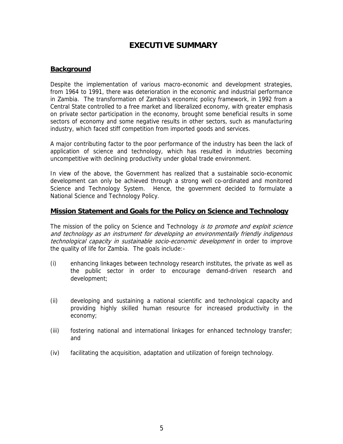# **EXECUTIVE SUMMARY**

# **Background**

Despite the implementation of various macro-economic and development strategies, from 1964 to 1991, there was deterioration in the economic and industrial performance in Zambia. The transformation of Zambia's economic policy framework, in 1992 from a Central State controlled to a free market and liberalized economy, with greater emphasis on private sector participation in the economy, brought some beneficial results in some sectors of economy and some negative results in other sectors, such as manufacturing industry, which faced stiff competition from imported goods and services.

A major contributing factor to the poor performance of the industry has been the lack of application of science and technology, which has resulted in industries becoming uncompetitive with declining productivity under global trade environment.

In view of the above, the Government has realized that a sustainable socio-economic development can only be achieved through a strong well co-ordinated and monitored Science and Technology System. Hence, the government decided to formulate a National Science and Technology Policy.

#### **Mission Statement and Goals for the Policy on Science and Technology**

The mission of the policy on Science and Technology is to promote and exploit science and technology as an instrument for developing an environmentally friendly indigenous technological capacity in sustainable socio-economic development in order to improve the quality of life for Zambia. The goals include:-

- (i) enhancing linkages between technology research institutes, the private as well as the public sector in order to encourage demand-driven research and development;
- (ii) developing and sustaining a national scientific and technological capacity and providing highly skilled human resource for increased productivity in the economy;
- (iii) fostering national and international linkages for enhanced technology transfer; and
- (iv) facilitating the acquisition, adaptation and utilization of foreign technology.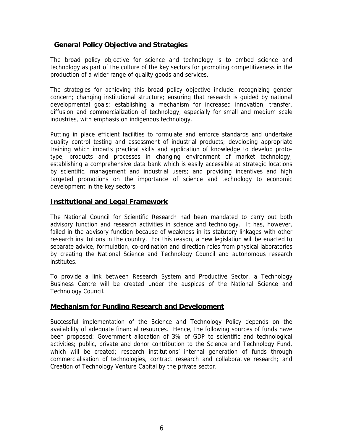## **General Policy Objective and Strategies**

The broad policy objective for science and technology is to embed science and technology as part of the culture of the key sectors for promoting competitiveness in the production of a wider range of quality goods and services.

The strategies for achieving this broad policy objective include: recognizing gender concern; changing institutional structure; ensuring that research is guided by national developmental goals; establishing a mechanism for increased innovation, transfer, diffusion and commercialization of technology, especially for small and medium scale industries, with emphasis on indigenous technology.

Putting in place efficient facilities to formulate and enforce standards and undertake quality control testing and assessment of industrial products; developing appropriate training which imparts practical skills and application of knowledge to develop prototype, products and processes in changing environment of market technology; establishing a comprehensive data bank which is easily accessible at strategic locations by scientific, management and industrial users; and providing incentives and high targeted promotions on the importance of science and technology to economic development in the key sectors.

# **Institutional and Legal Framework**

The National Council for Scientific Research had been mandated to carry out both advisory function and research activities in science and technology. It has, however, failed in the advisory function because of weakness in its statutory linkages with other research institutions in the country. For this reason, a new legislation will be enacted to separate advice, formulation, co-ordination and direction roles from physical laboratories by creating the National Science and Technology Council and autonomous research institutes.

To provide a link between Research System and Productive Sector, a Technology Business Centre will be created under the auspices of the National Science and Technology Council.

#### **Mechanism for Funding Research and Development**

Successful implementation of the Science and Technology Policy depends on the availability of adequate financial resources. Hence, the following sources of funds have been proposed: Government allocation of 3% of GDP to scientific and technological activities; public, private and donor contribution to the Science and Technology Fund, which will be created; research institutions' internal generation of funds through commercialisation of technologies, contract research and collaborative research; and Creation of Technology Venture Capital by the private sector.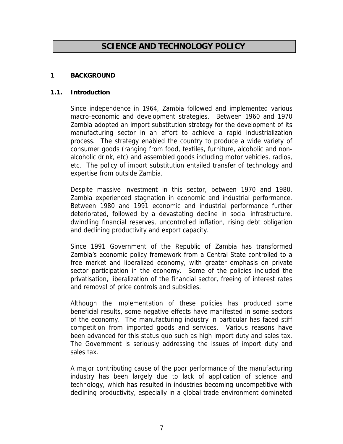# **SCIENCE AND TECHNOLOGY POLICY**

#### **1 BACKGROUND**

#### **1.1. Introduction**

Since independence in 1964, Zambia followed and implemented various macro-economic and development strategies. Between 1960 and 1970 Zambia adopted an import substitution strategy for the development of its manufacturing sector in an effort to achieve a rapid industrialization process. The strategy enabled the country to produce a wide variety of consumer goods (ranging from food, textiles, furniture, alcoholic and nonalcoholic drink, etc) and assembled goods including motor vehicles, radios, etc. The policy of import substitution entailed transfer of technology and expertise from outside Zambia.

Despite massive investment in this sector, between 1970 and 1980, Zambia experienced stagnation in economic and industrial performance. Between 1980 and 1991 economic and industrial performance further deteriorated, followed by a devastating decline in social infrastructure, dwindling financial reserves, uncontrolled inflation, rising debt obligation and declining productivity and export capacity.

Since 1991 Government of the Republic of Zambia has transformed Zambia's economic policy framework from a Central State controlled to a free market and liberalized economy, with greater emphasis on private sector participation in the economy. Some of the policies included the privatisation, liberalization of the financial sector, freeing of interest rates and removal of price controls and subsidies.

Although the implementation of these policies has produced some beneficial results, some negative effects have manifested in some sectors of the economy. The manufacturing industry in particular has faced stiff competition from imported goods and services. Various reasons have been advanced for this status quo such as high import duty and sales tax. The Government is seriously addressing the issues of import duty and sales tax.

A major contributing cause of the poor performance of the manufacturing industry has been largely due to lack of application of science and technology, which has resulted in industries becoming uncompetitive with declining productivity, especially in a global trade environment dominated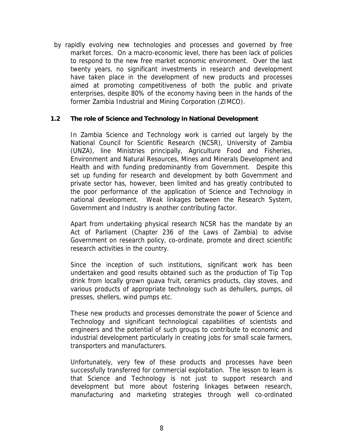by rapidly evolving new technologies and processes and governed by free market forces. On a macro-economic level, there has been lack of policies to respond to the new free market economic environment. Over the last twenty years, no significant investments in research and development have taken place in the development of new products and processes aimed at promoting competitiveness of both the public and private enterprises, despite 80% of the economy having been in the hands of the former Zambia Industrial and Mining Corporation (ZIMCO).

#### **1.2 The role of Science and Technology in National Development**

In Zambia Science and Technology work is carried out largely by the National Council for Scientific Research (NCSR), University of Zambia (UNZA), line Ministries principally, Agriculture Food and Fisheries, Environment and Natural Resources, Mines and Minerals Development and Health and with funding predominantly from Government. Despite this set up funding for research and development by both Government and private sector has, however, been limited and has greatly contributed to the poor performance of the application of Science and Technology in national development. Weak linkages between the Research System, Government and Industry is another contributing factor.

Apart from undertaking physical research NCSR has the mandate by an Act of Parliament (Chapter 236 of the Laws of Zambia) to advise Government on research policy, co-ordinate, promote and direct scientific research activities in the country.

Since the inception of such institutions, significant work has been undertaken and good results obtained such as the production of Tip Top drink from locally grown guava fruit, ceramics products, clay stoves, and various products of appropriate technology such as dehullers, pumps, oil presses, shellers, wind pumps etc.

These new products and processes demonstrate the power of Science and Technology and significant technological capabilities of scientists and engineers and the potential of such groups to contribute to economic and industrial development particularly in creating jobs for small scale farmers, transporters and manufacturers.

Unfortunately, very few of these products and processes have been successfully transferred for commercial exploitation. The lesson to learn is that Science and Technology is not just to support research and development but more about fostering linkages between research, manufacturing and marketing strategies through well co-ordinated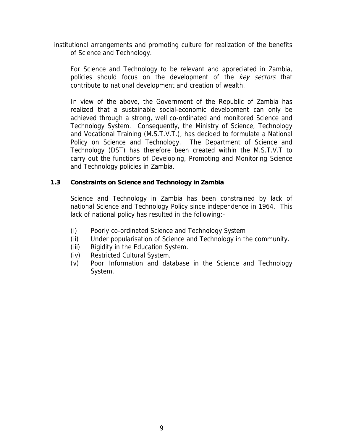institutional arrangements and promoting culture for realization of the benefits of Science and Technology.

For Science and Technology to be relevant and appreciated in Zambia, policies should focus on the development of the key sectors that contribute to national development and creation of wealth.

In view of the above, the Government of the Republic of Zambia has realized that a sustainable social-economic development can only be achieved through a strong, well co-ordinated and monitored Science and Technology System. Consequently, the Ministry of Science, Technology and Vocational Training (M.S.T.V.T.), has decided to formulate a National Policy on Science and Technology. The Department of Science and Technology (DST) has therefore been created within the M.S.T.V.T to carry out the functions of Developing, Promoting and Monitoring Science and Technology policies in Zambia.

#### **1.3 Constraints on Science and Technology in Zambia**

Science and Technology in Zambia has been constrained by lack of national Science and Technology Policy since independence in 1964. This lack of national policy has resulted in the following:-

- (i) Poorly co-ordinated Science and Technology System
- (ii) Under popularisation of Science and Technology in the community.
- (iii) Rigidity in the Education System.
- (iv) Restricted Cultural System.
- (v) Poor Information and database in the Science and Technology System.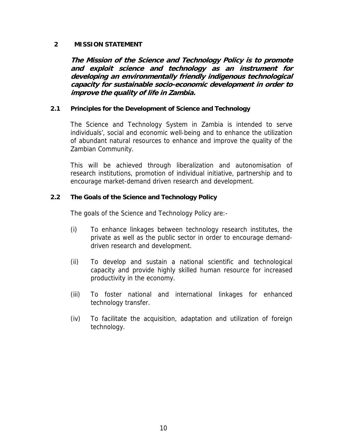#### **2 MISSION STATEMENT**

**The Mission of the Science and Technology Policy is to promote and exploit science and technology as an instrument for developing an environmentally friendly indigenous technological capacity for sustainable socio-economic development in order to improve the quality of life in Zambia.** 

#### **2.1 Principles for the Development of Science and Technology**

The Science and Technology System in Zambia is intended to serve individuals', social and economic well-being and to enhance the utilization of abundant natural resources to enhance and improve the quality of the Zambian Community.

This will be achieved through liberalization and autonomisation of research institutions, promotion of individual initiative, partnership and to encourage market-demand driven research and development.

#### **2.2 The Goals of the Science and Technology Policy**

The goals of the Science and Technology Policy are:-

- (i) To enhance linkages between technology research institutes, the private as well as the public sector in order to encourage demanddriven research and development.
- (ii) To develop and sustain a national scientific and technological capacity and provide highly skilled human resource for increased productivity in the economy.
- (iii) To foster national and international linkages for enhanced technology transfer.
- (iv) To facilitate the acquisition, adaptation and utilization of foreign technology.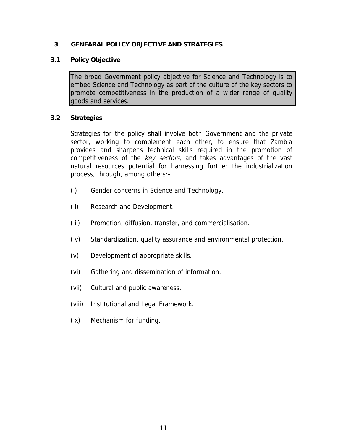#### **3 GENEARAL POLICY OBJECTIVE AND STRATEGIES**

#### **3.1 Policy Objective**

The broad Government policy objective for Science and Technology is to embed Science and Technology as part of the culture of the key sectors to promote competitiveness in the production of a wider range of quality goods and services.

#### **3.2 Strategies**

Strategies for the policy shall involve both Government and the private sector, working to complement each other, to ensure that Zambia provides and sharpens technical skills required in the promotion of competitiveness of the key sectors, and takes advantages of the vast natural resources potential for harnessing further the industrialization process, through, among others:-

- (i) Gender concerns in Science and Technology.
- (ii) Research and Development.
- (iii) Promotion, diffusion, transfer, and commercialisation.
- (iv) Standardization, quality assurance and environmental protection.
- (v) Development of appropriate skills.
- (vi) Gathering and dissemination of information.
- (vii) Cultural and public awareness.
- (viii) Institutional and Legal Framework.
- (ix) Mechanism for funding.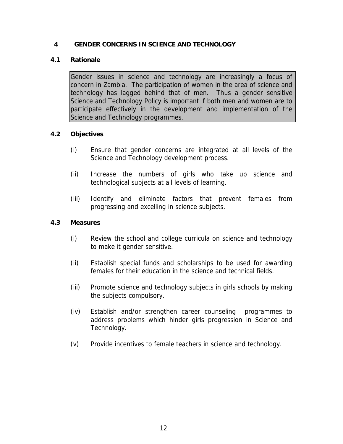#### **4 GENDER CONCERNS IN SCIENCE AND TECHNOLOGY**

#### **4.1 Rationale**

Gender issues in science and technology are increasingly a focus of concern in Zambia. The participation of women in the area of science and technology has lagged behind that of men. Thus a gender sensitive Science and Technology Policy is important if both men and women are to participate effectively in the development and implementation of the Science and Technology programmes.

#### **4.2 Objectives**

- (i) Ensure that gender concerns are integrated at all levels of the Science and Technology development process.
- (ii) Increase the numbers of girls who take up science and technological subjects at all levels of learning.
- (iii) Identify and eliminate factors that prevent females from progressing and excelling in science subjects.

#### **4.3 Measures**

- (i) Review the school and college curricula on science and technology to make it gender sensitive.
- (ii) Establish special funds and scholarships to be used for awarding females for their education in the science and technical fields.
- (iii) Promote science and technology subjects in girls schools by making the subjects compulsory.
- (iv) Establish and/or strengthen career counseling programmes to address problems which hinder girls progression in Science and Technology.
- (v) Provide incentives to female teachers in science and technology.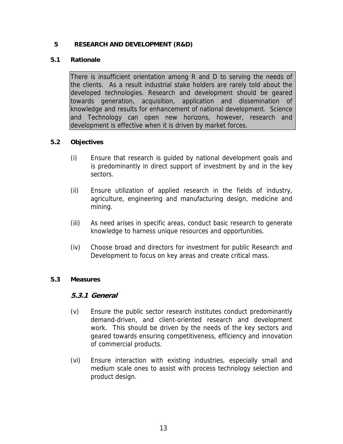## **5 RESEARCH AND DEVELOPMENT (R&D)**

## **5.1 Rationale**

There is insufficient orientation among R and D to serving the needs of the clients. As a result industrial stake holders are rarely told about the developed technologies. Research and development should be geared towards generation, acquisition, application and dissemination of knowledge and results for enhancement of national development. Science and Technology can open new horizons, however, research and development is effective when it is driven by market forces.

# **5.2 Objectives**

- (i) Ensure that research is guided by national development goals and is predominantly in direct support of investment by and in the key sectors.
- (ii) Ensure utilization of applied research in the fields of industry, agriculture, engineering and manufacturing design, medicine and mining.
- (iii) As need arises in specific areas, conduct basic research to generate knowledge to harness unique resources and opportunities.
- (iv) Choose broad and directors for investment for public Research and Development to focus on key areas and create critical mass.

#### **5.3 Measures**

# **5.3.1 General**

- (v) Ensure the public sector research institutes conduct predominantly demand-driven, and client-oriented research and development work. This should be driven by the needs of the key sectors and geared towards ensuring competitiveness, efficiency and innovation of commercial products.
- (vi) Ensure interaction with existing industries, especially small and medium scale ones to assist with process technology selection and product design.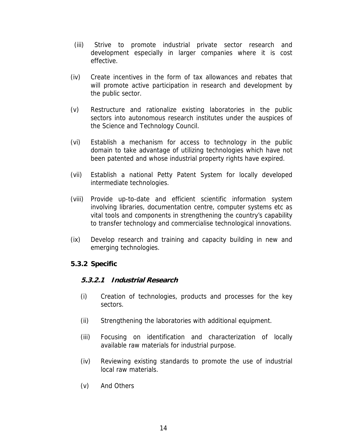- (iii) Strive to promote industrial private sector research and development especially in larger companies where it is cost effective.
- (iv) Create incentives in the form of tax allowances and rebates that will promote active participation in research and development by the public sector.
- (v) Restructure and rationalize existing laboratories in the public sectors into autonomous research institutes under the auspices of the Science and Technology Council.
- (vi) Establish a mechanism for access to technology in the public domain to take advantage of utilizing technologies which have not been patented and whose industrial property rights have expired.
- (vii) Establish a national Petty Patent System for locally developed intermediate technologies.
- (viii) Provide up-to-date and efficient scientific information system involving libraries, documentation centre, computer systems etc as vital tools and components in strengthening the country's capability to transfer technology and commercialise technological innovations.
- (ix) Develop research and training and capacity building in new and emerging technologies.

# **5.3.2 Specific**

# **5.3.2.1 Industrial Research**

- (i) Creation of technologies, products and processes for the key sectors.
- (ii) Strengthening the laboratories with additional equipment.
- (iii) Focusing on identification and characterization of locally available raw materials for industrial purpose.
- (iv) Reviewing existing standards to promote the use of industrial local raw materials.
- (v) And Others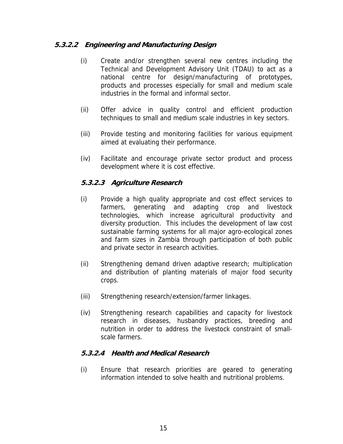# **5.3.2.2 Engineering and Manufacturing Design**

- (i) Create and/or strengthen several new centres including the Technical and Development Advisory Unit (TDAU) to act as a national centre for design/manufacturing of prototypes, products and processes especially for small and medium scale industries in the formal and informal sector.
- (ii) Offer advice in quality control and efficient production techniques to small and medium scale industries in key sectors.
- (iii) Provide testing and monitoring facilities for various equipment aimed at evaluating their performance.
- (iv) Facilitate and encourage private sector product and process development where it is cost effective.

# **5.3.2.3 Agriculture Research**

- (i) Provide a high quality appropriate and cost effect services to farmers, generating and adapting crop and livestock technologies, which increase agricultural productivity and diversity production. This includes the development of law cost sustainable farming systems for all major agro-ecological zones and farm sizes in Zambia through participation of both public and private sector in research activities.
- (ii) Strengthening demand driven adaptive research; multiplication and distribution of planting materials of major food security crops.
- (iii) Strengthening research/extension/farmer linkages.
- (iv) Strengthening research capabilities and capacity for livestock research in diseases, husbandry practices, breeding and nutrition in order to address the livestock constraint of smallscale farmers.

# **5.3.2.4 Health and Medical Research**

(i) Ensure that research priorities are geared to generating information intended to solve health and nutritional problems.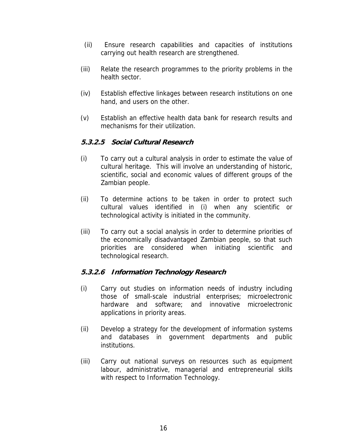- (ii) Ensure research capabilities and capacities of institutions carrying out health research are strengthened.
- (iii) Relate the research programmes to the priority problems in the health sector.
- (iv) Establish effective linkages between research institutions on one hand, and users on the other.
- (v) Establish an effective health data bank for research results and mechanisms for their utilization.

# **5.3.2.5 Social Cultural Research**

- (i) To carry out a cultural analysis in order to estimate the value of cultural heritage. This will involve an understanding of historic, scientific, social and economic values of different groups of the Zambian people.
- (ii) To determine actions to be taken in order to protect such cultural values identified in (i) when any scientific or technological activity is initiated in the community.
- (iii) To carry out a social analysis in order to determine priorities of the economically disadvantaged Zambian people, so that such priorities are considered when initiating scientific and technological research.

# **5.3.2.6 Information Technology Research**

- (i) Carry out studies on information needs of industry including those of small-scale industrial enterprises; microelectronic hardware and software; and innovative microelectronic applications in priority areas.
- (ii) Develop a strategy for the development of information systems and databases in government departments and public institutions.
- (iii) Carry out national surveys on resources such as equipment labour, administrative, managerial and entrepreneurial skills with respect to Information Technology.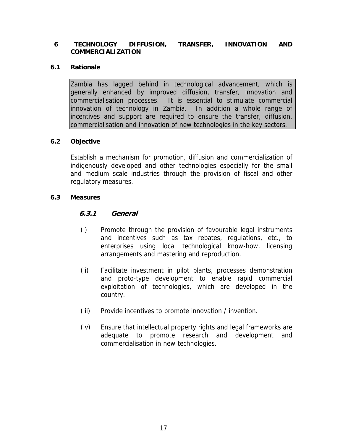#### **6 TECHNOLOGY DIFFUSION, TRANSFER, INNOVATION AND COMMERCIALIZATION**

#### **6.1 Rationale**

Zambia has lagged behind in technological advancement, which is generally enhanced by improved diffusion, transfer, innovation and commercialisation processes. It is essential to stimulate commercial innovation of technology in Zambia. In addition a whole range of incentives and support are required to ensure the transfer, diffusion, commercialisation and innovation of new technologies in the key sectors.

#### **6.2 Objective**

Establish a mechanism for promotion, diffusion and commercialization of indigenously developed and other technologies especially for the small and medium scale industries through the provision of fiscal and other regulatory measures.

#### **6.3 Measures**

#### **6.3.1 General**

- (i) Promote through the provision of favourable legal instruments and incentives such as tax rebates, regulations, etc., to enterprises using local technological know-how, licensing arrangements and mastering and reproduction.
- (ii) Facilitate investment in pilot plants, processes demonstration and proto-type development to enable rapid commercial exploitation of technologies, which are developed in the country.
- (iii) Provide incentives to promote innovation / invention.
- (iv) Ensure that intellectual property rights and legal frameworks are adequate to promote research and development and commercialisation in new technologies.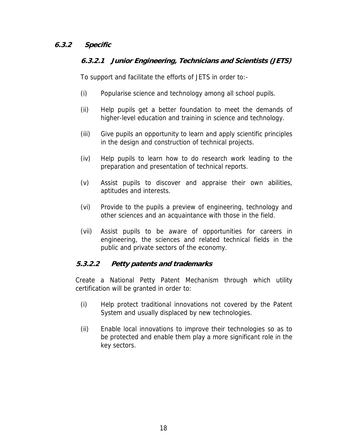# **6.3.2 Specific**

# **6.3.2.1 Junior Engineering, Technicians and Scientists (JETS)**

To support and facilitate the efforts of JETS in order to:-

- (i) Popularise science and technology among all school pupils.
- (ii) Help pupils get a better foundation to meet the demands of higher-level education and training in science and technology.
- (iii) Give pupils an opportunity to learn and apply scientific principles in the design and construction of technical projects.
- (iv) Help pupils to learn how to do research work leading to the preparation and presentation of technical reports.
- (v) Assist pupils to discover and appraise their own abilities, aptitudes and interests.
- (vi) Provide to the pupils a preview of engineering, technology and other sciences and an acquaintance with those in the field.
- (vii) Assist pupils to be aware of opportunities for careers in engineering, the sciences and related technical fields in the public and private sectors of the economy.

# **5.3.2.2 Petty patents and trademarks**

Create a National Petty Patent Mechanism through which utility certification will be granted in order to:

- (i) Help protect traditional innovations not covered by the Patent System and usually displaced by new technologies.
- (ii) Enable local innovations to improve their technologies so as to be protected and enable them play a more significant role in the key sectors.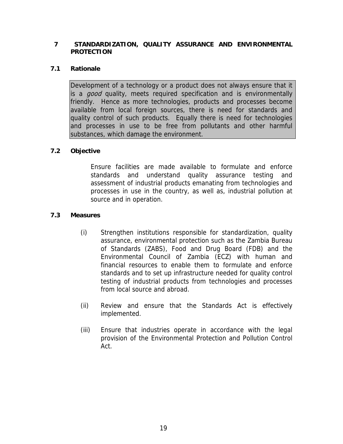#### **7 STANDARDIZATION, QUALITY ASSURANCE AND ENVIRONMENTAL PROTECTION**

#### **7.1 Rationale**

Development of a technology or a product does not always ensure that it is a *good* quality, meets required specification and is environmentally friendly. Hence as more technologies, products and processes become available from local foreign sources, there is need for standards and quality control of such products. Equally there is need for technologies and processes in use to be free from pollutants and other harmful substances, which damage the environment.

#### **7.2 Objective**

Ensure facilities are made available to formulate and enforce standards and understand quality assurance testing and assessment of industrial products emanating from technologies and processes in use in the country, as well as, industrial pollution at source and in operation.

#### **7.3 Measures**

- (i) Strengthen institutions responsible for standardization, quality assurance, environmental protection such as the Zambia Bureau of Standards (ZABS), Food and Drug Board (FDB) and the Environmental Council of Zambia (ECZ) with human and financial resources to enable them to formulate and enforce standards and to set up infrastructure needed for quality control testing of industrial products from technologies and processes from local source and abroad.
- (ii) Review and ensure that the Standards Act is effectively implemented.
- (iii) Ensure that industries operate in accordance with the legal provision of the Environmental Protection and Pollution Control Act.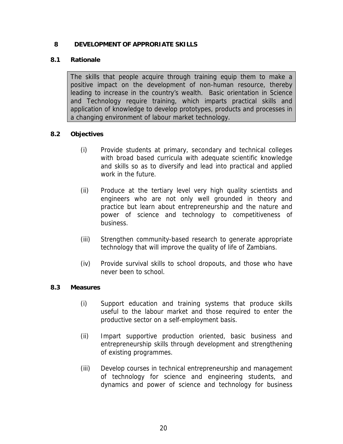#### **8 DEVELOPMENT OF APPRORIATE SKILLS**

## **8.1 Rationale**

The skills that people acquire through training equip them to make a positive impact on the development of non-human resource, thereby leading to increase in the country's wealth. Basic orientation in Science and Technology require training, which imparts practical skills and application of knowledge to develop prototypes, products and processes in a changing environment of labour market technology.

# **8.2 Objectives**

- (i) Provide students at primary, secondary and technical colleges with broad based curricula with adequate scientific knowledge and skills so as to diversify and lead into practical and applied work in the future.
- (ii) Produce at the tertiary level very high quality scientists and engineers who are not only well grounded in theory and practice but learn about entrepreneurship and the nature and power of science and technology to competitiveness of business.
- (iii) Strengthen community-based research to generate appropriate technology that will improve the quality of life of Zambians.
- (iv) Provide survival skills to school dropouts, and those who have never been to school.

#### **8.3 Measures**

- (i) Support education and training systems that produce skills useful to the labour market and those required to enter the productive sector on a self-employment basis.
- (ii) Impart supportive production oriented, basic business and entrepreneurship skills through development and strengthening of existing programmes.
- (iii) Develop courses in technical entrepreneurship and management of technology for science and engineering students, and dynamics and power of science and technology for business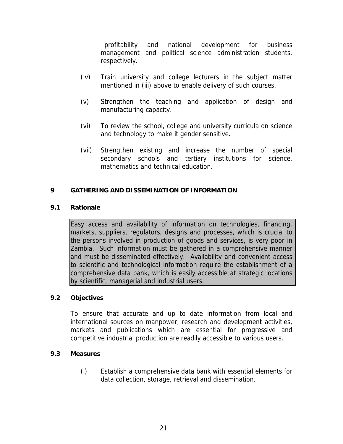profitability and national development for business management and political science administration students, respectively.

- (iv) Train university and college lecturers in the subject matter mentioned in (iii) above to enable delivery of such courses.
- (v) Strengthen the teaching and application of design and manufacturing capacity.
- (vi) To review the school, college and university curricula on science and technology to make it gender sensitive.
- (vii) Strengthen existing and increase the number of special secondary schools and tertiary institutions for science, mathematics and technical education.

#### **9 GATHERING AND DISSEMINATION OF INFORMATION**

#### **9.1 Rationale**

Easy access and availability of information on technologies, financing, markets, suppliers, regulators, designs and processes, which is crucial to the persons involved in production of goods and services, is very poor in Zambia. Such information must be gathered in a comprehensive manner and must be disseminated effectively. Availability and convenient access to scientific and technological information require the establishment of a comprehensive data bank, which is easily accessible at strategic locations by scientific, managerial and industrial users.

#### **9.2 Objectives**

To ensure that accurate and up to date information from local and international sources on manpower, research and development activities, markets and publications which are essential for progressive and competitive industrial production are readily accessible to various users.

#### **9.3 Measures**

(i) Establish a comprehensive data bank with essential elements for data collection, storage, retrieval and dissemination.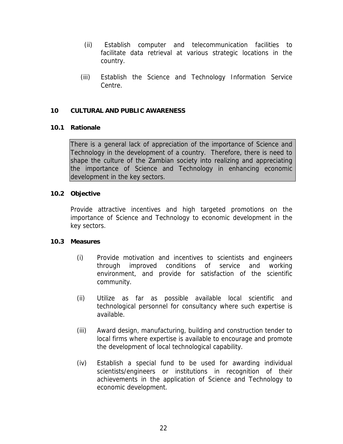- (ii) Establish computer and telecommunication facilities to facilitate data retrieval at various strategic locations in the country.
- (iii) Establish the Science and Technology Information Service Centre.

#### **10 CULTURAL AND PUBLIC AWARENESS**

#### **10.1 Rationale**

There is a general lack of appreciation of the importance of Science and Technology in the development of a country. Therefore, there is need to shape the culture of the Zambian society into realizing and appreciating the importance of Science and Technology in enhancing economic development in the key sectors.

#### **10.2 Objective**

Provide attractive incentives and high targeted promotions on the importance of Science and Technology to economic development in the key sectors.

#### **10.3 Measures**

- (i) Provide motivation and incentives to scientists and engineers through improved conditions of service and working environment, and provide for satisfaction of the scientific community.
- (ii) Utilize as far as possible available local scientific and technological personnel for consultancy where such expertise is available.
- (iii) Award design, manufacturing, building and construction tender to local firms where expertise is available to encourage and promote the development of local technological capability.
- (iv) Establish a special fund to be used for awarding individual scientists/engineers or institutions in recognition of their achievements in the application of Science and Technology to economic development.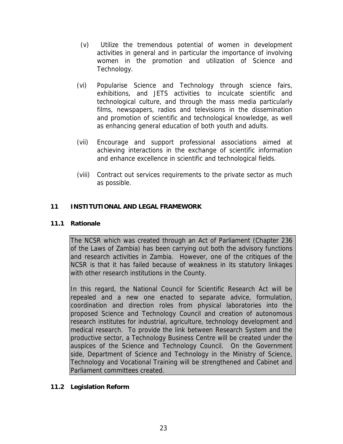- (v) Utilize the tremendous potential of women in development activities in general and in particular the importance of involving women in the promotion and utilization of Science and Technology.
- (vi) Popularise Science and Technology through science fairs, exhibitions, and JETS activities to inculcate scientific and technological culture, and through the mass media particularly films, newspapers, radios and televisions in the dissemination and promotion of scientific and technological knowledge, as well as enhancing general education of both youth and adults.
- (vii) Encourage and support professional associations aimed at achieving interactions in the exchange of scientific information and enhance excellence in scientific and technological fields.
- (viii) Contract out services requirements to the private sector as much as possible.

# **11 INSTITUTIONAL AND LEGAL FRAMEWORK**

## **11.1 Rationale**

The NCSR which was created through an Act of Parliament (Chapter 236 of the Laws of Zambia) has been carrying out both the advisory functions and research activities in Zambia. However, one of the critiques of the NCSR is that it has failed because of weakness in its statutory linkages with other research institutions in the County.

In this regard, the National Council for Scientific Research Act will be repealed and a new one enacted to separate advice, formulation, coordination and direction roles from physical laboratories into the proposed Science and Technology Council and creation of autonomous research institutes for industrial, agriculture, technology development and medical research. To provide the link between Research System and the productive sector, a Technology Business Centre will be created under the auspices of the Science and Technology Council. On the Government side, Department of Science and Technology in the Ministry of Science, Technology and Vocational Training will be strengthened and Cabinet and Parliament committees created.

#### **11.2 Legislation Reform**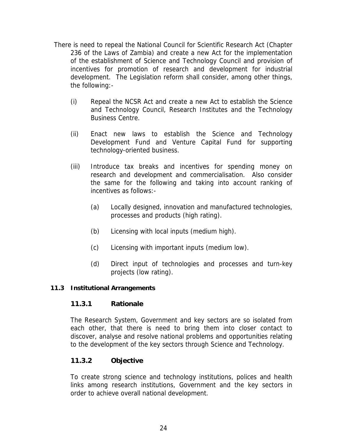- There is need to repeal the National Council for Scientific Research Act (Chapter 236 of the Laws of Zambia) and create a new Act for the implementation of the establishment of Science and Technology Council and provision of incentives for promotion of research and development for industrial development. The Legislation reform shall consider, among other things, the following:-
	- (i) Repeal the NCSR Act and create a new Act to establish the Science and Technology Council, Research Institutes and the Technology Business Centre.
	- (ii) Enact new laws to establish the Science and Technology Development Fund and Venture Capital Fund for supporting technology-oriented business.
	- (iii) Introduce tax breaks and incentives for spending money on research and development and commercialisation. Also consider the same for the following and taking into account ranking of incentives as follows:-
		- (a) Locally designed, innovation and manufactured technologies, processes and products (high rating).
		- (b) Licensing with local inputs (medium high).
		- (c) Licensing with important inputs (medium low).
		- (d) Direct input of technologies and processes and turn-key projects (low rating).

# **11.3 Institutional Arrangements**

# **11.3.1 Rationale**

The Research System, Government and key sectors are so isolated from each other, that there is need to bring them into closer contact to discover, analyse and resolve national problems and opportunities relating to the development of the key sectors through Science and Technology.

# **11.3.2 Objective**

To create strong science and technology institutions, polices and health links among research institutions, Government and the key sectors in order to achieve overall national development.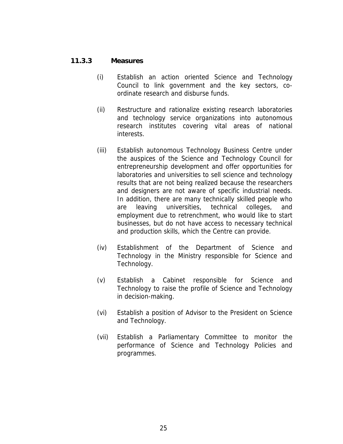#### **11.3.3 Measures**

- (i) Establish an action oriented Science and Technology Council to link government and the key sectors, coordinate research and disburse funds.
- (ii) Restructure and rationalize existing research laboratories and technology service organizations into autonomous research institutes covering vital areas of national interests.
- (iii) Establish autonomous Technology Business Centre under the auspices of the Science and Technology Council for entrepreneurship development and offer opportunities for laboratories and universities to sell science and technology results that are not being realized because the researchers and designers are not aware of specific industrial needs. In addition, there are many technically skilled people who are leaving universities, technical colleges, and employment due to retrenchment, who would like to start businesses, but do not have access to necessary technical and production skills, which the Centre can provide.
- (iv) Establishment of the Department of Science and Technology in the Ministry responsible for Science and Technology.
- (v) Establish a Cabinet responsible for Science and Technology to raise the profile of Science and Technology in decision-making.
- (vi) Establish a position of Advisor to the President on Science and Technology.
- (vii) Establish a Parliamentary Committee to monitor the performance of Science and Technology Policies and programmes.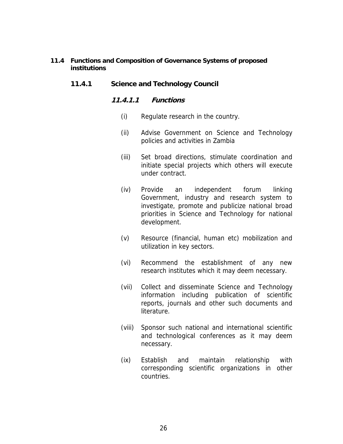#### **11.4 Functions and Composition of Governance Systems of proposed institutions**

## **11.4.1 Science and Technology Council**

#### **11.4.1.1 Functions**

- (i) Regulate research in the country.
- (ii) Advise Government on Science and Technology policies and activities in Zambia
- (iii) Set broad directions, stimulate coordination and initiate special projects which others will execute under contract.
- (iv) Provide an independent forum linking Government, industry and research system to investigate, promote and publicize national broad priorities in Science and Technology for national development.
- (v) Resource (financial, human etc) mobilization and utilization in key sectors.
- (vi) Recommend the establishment of any new research institutes which it may deem necessary.
- (vii) Collect and disseminate Science and Technology information including publication of scientific reports, journals and other such documents and literature.
- (viii) Sponsor such national and international scientific and technological conferences as it may deem necessary.
- (ix) Establish and maintain relationship with corresponding scientific organizations in other countries.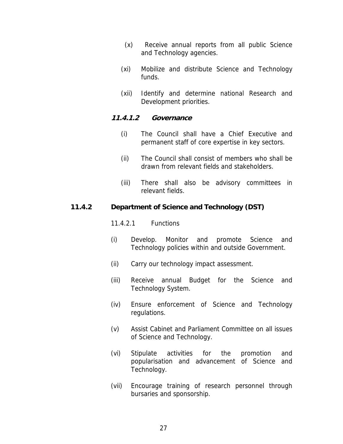- (x) Receive annual reports from all public Science and Technology agencies.
- (xi) Mobilize and distribute Science and Technology funds.
- (xii) Identify and determine national Research and Development priorities.

#### **11.4.1.2 Governance**

- (i) The Council shall have a Chief Executive and permanent staff of core expertise in key sectors.
- (ii) The Council shall consist of members who shall be drawn from relevant fields and stakeholders.
- (iii) There shall also be advisory committees in relevant fields.

#### **11.4.2 Department of Science and Technology (DST)**

11.4.2.1 Functions

- (i) Develop. Monitor and promote Science and Technology policies within and outside Government.
- (ii) Carry our technology impact assessment.
- (iii) Receive annual Budget for the Science and Technology System.
- (iv) Ensure enforcement of Science and Technology regulations.
- (v) Assist Cabinet and Parliament Committee on all issues of Science and Technology.
- (vi) Stipulate activities for the promotion and popularisation and advancement of Science and Technology.
- (vii) Encourage training of research personnel through bursaries and sponsorship.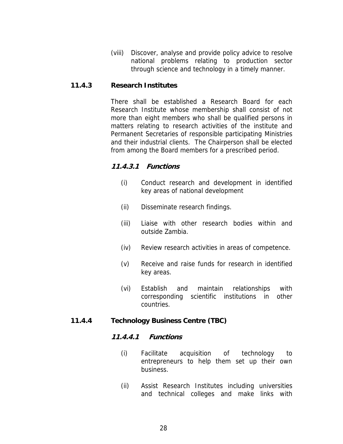(viii) Discover, analyse and provide policy advice to resolve national problems relating to production sector through science and technology in a timely manner.

#### **11.4.3 Research Institutes**

There shall be established a Research Board for each Research Institute whose membership shall consist of not more than eight members who shall be qualified persons in matters relating to research activities of the institute and Permanent Secretaries of responsible participating Ministries and their industrial clients. The Chairperson shall be elected from among the Board members for a prescribed period.

#### **11.4.3.1 Functions**

- (i) Conduct research and development in identified key areas of national development
- (ii) Disseminate research findings.
- (iii) Liaise with other research bodies within and outside Zambia.
- (iv) Review research activities in areas of competence.
- (v) Receive and raise funds for research in identified key areas.
- (vi) Establish and maintain relationships with corresponding scientific institutions in other countries.

#### **11.4.4 Technology Business Centre (TBC)**

#### **11.4.4.1 Functions**

- (i) Facilitate acquisition of technology to entrepreneurs to help them set up their own business.
- (ii) Assist Research Institutes including universities and technical colleges and make links with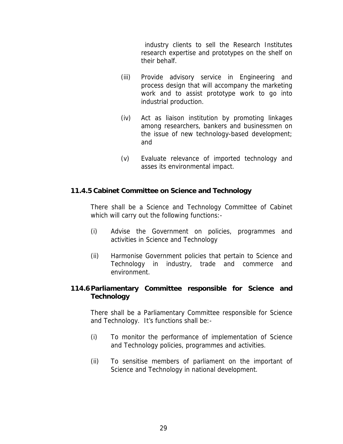industry clients to sell the Research Institutes research expertise and prototypes on the shelf on their behalf.

- (iii) Provide advisory service in Engineering and process design that will accompany the marketing work and to assist prototype work to go into industrial production.
- (iv) Act as liaison institution by promoting linkages among researchers, bankers and businessmen on the issue of new technology-based development; and
- (v) Evaluate relevance of imported technology and asses its environmental impact.

# **11.4.5 Cabinet Committee on Science and Technology**

There shall be a Science and Technology Committee of Cabinet which will carry out the following functions:-

- (i) Advise the Government on policies, programmes and activities in Science and Technology
- (ii) Harmonise Government policies that pertain to Science and Technology in industry, trade and commerce and environment.

# **114.6 Parliamentary Committee responsible for Science and Technology**

There shall be a Parliamentary Committee responsible for Science and Technology. It's functions shall be:-

- (i) To monitor the performance of implementation of Science and Technology policies, programmes and activities.
- (ii) To sensitise members of parliament on the important of Science and Technology in national development.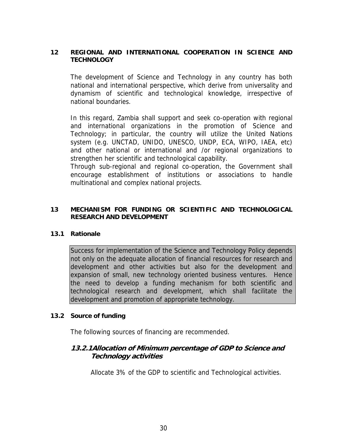#### **12 REGIONAL AND INTERNATIONAL COOPERATION IN SCIENCE AND TECHNOLOGY**

The development of Science and Technology in any country has both national and international perspective, which derive from universality and dynamism of scientific and technological knowledge, irrespective of national boundaries.

In this regard, Zambia shall support and seek co-operation with regional and international organizations in the promotion of Science and Technology; in particular, the country will utilize the United Nations system (e.g. UNCTAD, UNIDO, UNESCO, UNDP, ECA, WIPO, IAEA, etc) and other national or international and /or regional organizations to strengthen her scientific and technological capability.

Through sub-regional and regional co-operation, the Government shall encourage establishment of institutions or associations to handle multinational and complex national projects.

#### **13 MECHANISM FOR FUNDING OR SCIENTIFIC AND TECHNOLOGICAL RESEARCH AND DEVELOPMENT**

#### **13.1 Rationale**

Success for implementation of the Science and Technology Policy depends not only on the adequate allocation of financial resources for research and development and other activities but also for the development and expansion of small, new technology oriented business ventures. Hence the need to develop a funding mechanism for both scientific and technological research and development, which shall facilitate the development and promotion of appropriate technology.

#### **13.2 Source of funding**

The following sources of financing are recommended.

# **13.2.1Allocation of Minimum percentage of GDP to Science and Technology activities**

Allocate 3% of the GDP to scientific and Technological activities.